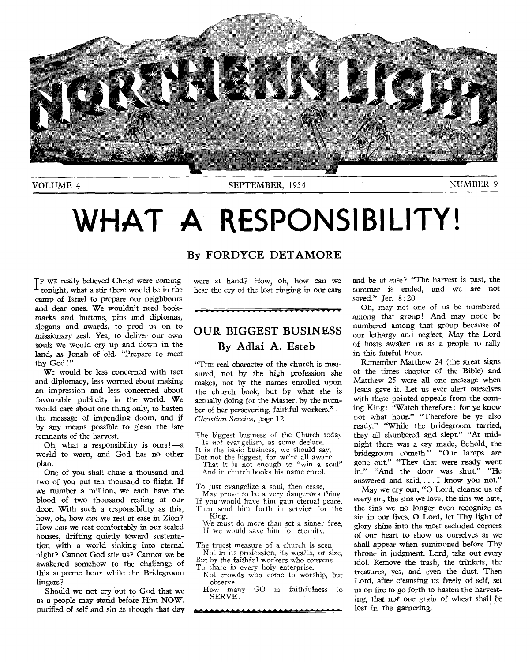

VOLUME 4 SEPTEMBER, 1954 NUMBER 9

# WHAT A RESPONSIBILITY!

IF WE really believed Christ were coming tonight, what a stir there would be in the camp of Israel to prepare our neighbours and dear ones. We wouldn't need bookmarks and buttons, pins and diplomas, slogans and awards, to prod us on to missionary zeal. Yea, to deliver our own souls we would cry up and down in the land, as Jonah of old, "Prepare to meet thy God!"

We would be less concerned with tact and diplomacy, less worried about making an impression and less concerned about favourable publicity in the world. We would care about one thing only, to hasten the message of impending doom, and if by any means possible to glean the late remnants of the harvest.

Oh, what a responsibility is ours !—a world to warn, and God has no other plan.

One of you shall chase a thousand and two of you put ten thousand to flight. If we number a million, we each have the blood of two thousand resting at our door. With such a responsibility as this, how, oh, how *can* we rest at ease in Zion? How *can* we rest comfortably in our sealed houses, drifting quietly toward sustentation with a world sinking into eternal night? Cannot God stir us? Cannot we be awakened somehow to the challenge of this supreme hour while the Bridegroom lingers?

Should we not cry out to God that we as a people may stand before Him NOW, purified of self and sin as though that day

#### **By FORDYCE DETAMORE**

were at hand? How, oh, how can we hear the cry of the lost ringing in our ears

### **OUR BIGGEST BUSINESS By Adlai A.** Esteb

"THE real character of the church is measured, not by the high profession she makes, not by the names enrolled upon the church book, but by what she is actually doing for the Master, by the number of her persevering, faithful workers."— *Christian Service,* page 12.

The biggest business of the Church today Is *not* evangelism, as some declare.

- It is the basic business, we should say,
- But not the biggest, for we're all aware That it is not enough to "win a soul" And in church books his name enrol.

To just evangelize a soul, then cease, May prove to be a very dangerous thing.

If you would have him gain eternal peace, Then send him forth in service for the King.

We must do more than set a sinner free, If we would save him for eternity.

The truest measure of a church is seen Not in its profession, its wealth, or size, But by the faithful workers who convene To share in every holy enterprise.

Not crowds who come to worship, but

observe<br>How many GO in faithfulness to SERVE!

and be at ease? "The harvest is past, the summer is ended, and we are not saved." Jer. 8:20.

Oh, may not one of us be numbered among that group! And may none be numbered among that group because of our lethargy and neglect. May the Lord of hosts awaken us as a people to rally in this fateful hour.

Remember Matthew 24 (the great signs of the times chapter of the Bible) and Matthew 25 were all one message when Jesus gave it. Let us ever alert ourselves with these pointed appeals from the coming King: "Watch therefore: for ye know not what hour." "Therefore be ye also ready." "While the bridegroom tarried, they all slumbered and slept." "At midnight there was a cry made, Behold, the bridegroom cometh." "Our lamps are gone out." "They that were ready went in." "And the door was shut." "He answered and said, .. . I know you not."

May we cry out, "0 Lord, cleanse us of every sin, the sins we love, the sins we hate, the sins we no longer even recognize as sin in our lives. 0 Lord, let Thy light of glory shine into the most secluded corners of our heart to show us ourselves as we shall appear when summoned before Thy throne in judgment. Lord, take out every idol. Remove the trash, the trinkets, the treasures, yes, and even the dust. Then Lord, after cleansing us freely of self, set us on fire to go forth to hasten the harvesting, that not one grain of wheat shall be lost in the garnering.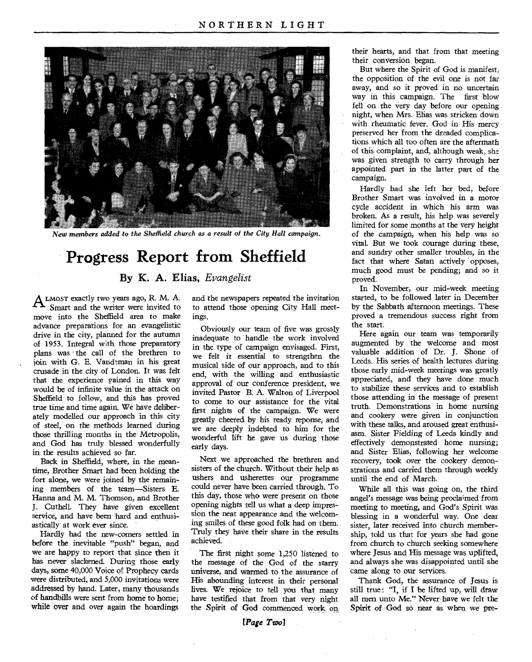

*New members added to the Sheffield church as a result of the City Hall campaign.* 

### **Progress Report from Sheffield**

#### **By K. A. Elias,** *Evangelist*

A LMOST exactly two years ago, R. M. A.<br>Smart and the writer were invited to Smart and the writer were invited to move into the Sheffield area to make advance preparations for an evangelistic drive in the city, planned for the autumn of 1953. Integral with those preparatory plans was the call of the brethren to join with G. E. Vandeman in his great crusade in the city of London. It was felt that the experience gained in this way would be of infinite value in the attack on Sheffield to follow, and this has proved true time and time again. We have deliberately modelled our approach in this city of steel, on the methods learned during those thrilling months in the Metropolis, and God has truly blessed wonderfully in the results achieved so far.

Back in Sheffield, where, in the meantime, Brother Smart had been holding the fort alone, we were joined by the remaining members of the team—Sisters E. Hanna and M. M. Thomson, and Brother J. Cuthell. They have given excellent service, and have been hard and enthusiastically at work ever since.

Hardly had the new-corners settled in before the inevitable "push" began, and we are happy to report that since then it has never slackened. During those early days, some 40,000 Voice of Prophecy cards were distributed, and 5,000 invitations were addressed by hand. Later, many thousands of handbills were sent from home to home; while over and over again the hoardings

and the newspapers repeated the invitation to attend those opening City Hall meetings.

Obviously our team of five was grossly inadequate to handle the work involved in the type of campaign envisaged. First, we felt it essential to strengthen the musical side of our approach, and to this end, with the willing and enthusiastic approval of our conference president, we invited Pastor B. A. Walton of Liverpool to come to our assistance for the vital first nights of the campaign. We were greatly cheered by his ready reponse, and we are deeply indebted to him for the wonderful lift he gave us during those early days.

Next we approached the brethren and sisters of the church. Without their help as ushers and usherettes our programme could never have been carried through. To this day, those who were present on those opening nights tell us what a deep impression the neat appearance and the welcoming smiles of these good folk had on them. Truly they have their share in the results achieved.

The first night some 1,250 listened to the message of the God of the starry universe, and warmed to the assurance of His abounding interest in their personal lives. We rejoice to tell you that many have testified that from that very night the Spirit of God commenced work on

their hearts, and that from that meeting their conversion began.

But where the Spirit of God is manifest, the opposition of the evil one is not far away, and so it proved in no uncertain way in this campaign. The first blow fell on the very day before our opening night, when Mrs. Elias was stricken down with rheumatic fever. God in His mercy preserved her from the dreaded complications which all too often are the aftermath of this complaint, and, although weak, she was given strength to carry through her appointed part in the latter part of the campaign.

Hardly had she left her bed, before Brother Smart was involved in a motor cycle accident in which his arm was broken. As a result, his help was severely limited for some months at the very height of the campaign, when his help was so vital. But we took courage during these, and sundry other smaller troubles, in the fact that where Satan actively opposes, much good must be pending; and so it proved.

In November, our mid-week meeting started, to be followed later in December by the Sabbath afternoon meetings. These proved a tremendous success right from the start.

Here again our team was temporarily augmented by the welcome and most valuable addition of Dr. J. Shone of Leeds. His series of health lectures during those early mid-week meetings was greatly appreciated, and they have done much to stabilize these services and to establish those attending in the message of present truth. Demonstrations in home nursing and cookery were given in conjunction with these talks, and aroused great enthusiasm. Sister Fielding of Leeds kindly and effectively demonstrated home nursing; and Sister Elias, following her welcome recovery, took over the cookery demonstrations and carried them through weekly until the end of March.

While all this was going on, the third angel's message was being proclaimed from meeting to meeting, and God's Spirit was blessing in a wonderful way. One dear sister, later received into church membership, told us that for years she had gone from church to church seeking somewhere where Jesus and His message was uplifted, and always she was disappointed until she came along to our services.

Thank God, the assurance of Jesus is still true: "I, if I be lifted up, will draw all men unto Me." Never have we felt the Spirit of God so near as when we pre-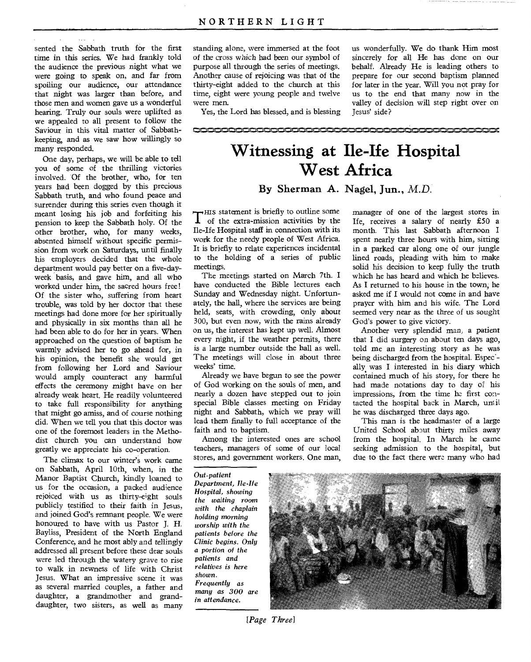sented the Sabbath truth for the first time in this series. We had frankly told the audience the previous night what we were going to speak on, and far from spoiling our audience, our attendance that night was larger than before, and those men and women gave us a wonderful hearing. Truly our souls were uplifted as we appealed to all present to follow the Saviour in this vital matter of Sabbathkeeping, and as we saw how willingly so many responded.

One day, perhaps, we will be able to tell you of some of the thrilling victories involved. Of the brother, who, for ten years had been dogged by this precious Sabbath truth, and who found peace and surrender during this series even though it meant losing his job and forfeiting his pension to keep the Sabbath holy. Of the other brother, who, for many weeks, absented himself without specific permission from work on Saturdays, until finally his employers decided that the whole department would pay better on a five-dayweek basis, and gave him, and all who worked under him, the sacred hours free! Of the sister who, suffering from heart trouble, was told by her doctor that these meetings had done more for her spiritually and physically in six months than all he had been able to do for her in years. When approached on the question of baptism he warmly advised her to go ahead for, in his opinion, the benefit she would get from following her Lord and Saviour would amply counteract any harmful effects the ceremony might have on her already weak heart. He readily volunteered to take full responsibility for anything that might go amiss, and of course nothing did. When we tell you that this doctor was one of the foremost leaders in the Methodist church you can understand how greatly we appreciate his co-operation.

The climax to our winter's work came on Sabbath, April 10th, when, in the Manor Baptist Church, kindly loaned to us for the occasion, a packed audience rejoiced with us as thirty-eight souls publicly testified to their faith in Jesus, and joined God's remnant people. We were honoured to have with us Pastor J. H. Bayliss, President of the North England Conference, and he most ably and tellingly addressed all present before these dear souls were led through the watery grave to rise to walk in newness of life with Christ Jesus. What an impressive scene it was as several married couples, a father and daughter, a grandmother and granddaughter, two sisters, as well as many

standing alone, were immersed at the foot of the cross which had been our symbol of purpose all through the series of meetings. Another cause of rejoicing was that of the thirty-eight added to the church at this time, eight were young people and twelve were men.

Yes, the Lord has blessed, and is blessing

us wonderfully. We do thank Him most sincerely for all He has done on our behalf. Already He is leading others to prepare for our second baptism planned for later in the year. Will you not pray for us to the end that many now in the valley of decision will step right over on Jesus' side?

## **1•••••s•=1;..,,MD..•••**■**••,.7,111.•,=-011•••••=,....kai,60,mi 111. s, •**

### **Witnessing at Ile-Ife Hospital West Africa**

#### By Sherman A. Nagel, **Jun.,** *M.D.*

Thus statement is briefly to outline some<br>of the extra-mission activities by the  $\rightarrow$  HIS statement is briefly to outline some Ile-Ife Hospital staff in connection with its work for the needy people of West Africa. It is briefly to relate experiences incidental to the holding of a series of public meetings.

The meetings started on March 7th. I have conducted the Bible lectures each Sunday and Wednesday night. Unfortunately, the hall, where the services are being held, seats, with crowding, only about 300, but even now, with the rains already on us, the interest has kept up well. Almost every night, if the weather permits, there is a large number outside the hall as well. The meetings will close in about three weeks' time.

Already we have begun to see the power of God working on the souls of men, and nearly a dozen have stepped out to join special Bible classes meeting on Friday night and Sabbath, which we pray will lead them finally to full acceptance of the faith and to baptism.

Among the interested ones are school teachers, managers of some of our local stores, and government workers. One man,

manager of one of the largest stores in Ife, receives a salary of nearly £50 a month. This last Sabbath afternoon I spent nearly three hours with him, sitting in a parked car along one of our jungle lined roads, pleading with him to make solid his decision to keep fully the truth which he has heard and which he believes. As I returned to his house in the town, he asked me if I would not come in and have prayer with him and his wife. The Lord seemed very near as the three of us sought God's power to give victory.

Another very splendid man, a patient that I did surgery on about ten days ago, told me an interesting story as he was being discharged from the hospital. Espec- ally. was I interested in his diary which contained much of his story, for there he had made notations day to day of his impressions, from the time he first contacted the hospital back in March, until he was discharged three days ago.

This man is the headmaster of a large United School about thirty miles away from the hospital. In March he came seeking admission to the hospital, but due to the fact there were many who had

*Out-patient Department, Ile-Ife Hospital, showing the waiting room with the chaplain holding morning worship with the patients before the Clinic begins. Only a portion of the patients and relatives is here shown. Frequently as many as 300 are in attendance.* 



*[Page Three]*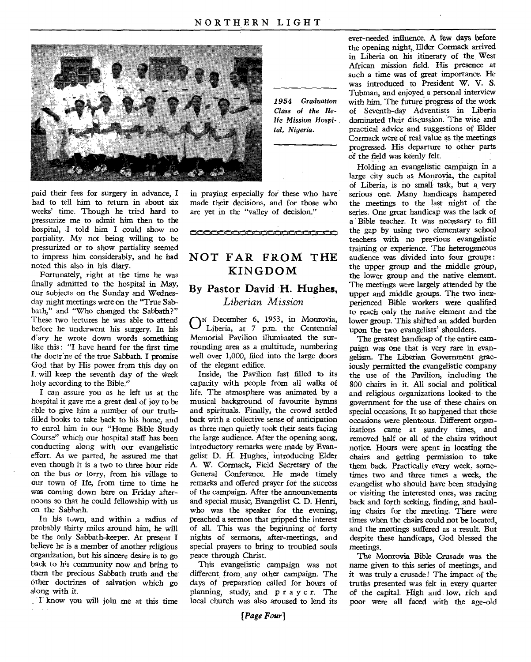

paid their fees for surgery in advance, I had to tell him to return in about six weeks' time. Though he tried hard to pressurize me to admit him then to the hospital, I told him I could show no partiality. My not being willing to be pressurized or to show partiality seemed to impress him considerably, and he had noted this also in his diary.

Fortunately, right at the time he was finally admitted to the hospital in May, our subjects on the Sunday and Wednesday night meetings were on the "True Sabbath," and "Who changed the Sabbath?" These two lectures he was able to attend before he underwent his surgery. In his ary he wrote down words something like this : "I have heard for the first time the doctrine of the true Sabbath. I promise God that by His power. from this day on I, will keep the seventh day of the Week holy according to the Bible."

I can assure you as he left us at the hospital it gave me a great deal of joy to be able to give him a number of our truthfilled books to take back to his home, and to enrol him in our "Home Bible Study Course" which our hospital staff has been conducting along with our evangelistic effort. As we parted, he assured me that even though it is a two to three hour ride on the bus or lorry, from his village to our town of Ife, from time to time he was coming down here on Friday afternoons so that he could fellowship with us on the Sabbath.

In his town, and within a radius of probably thirty miles around him, he will be the only Sabbath-keeper. At present I believe he is a member of another religious organization, but his sincere desire is to go back to his community now and bring to them the precious Sabbath truth and the other doctrines of salvation which go along with it.

I know you will join me at this time

*1954 Graduation Class of the Belle Mission Hospital, Nigeria.* 

in praying especially for these who have made their decisions, and for those who are yet in the "valley of decision."

**411•1,M.111•011..•1,111.** 

#### **NOT FAR FROM THE KINGDOM**

#### **By Pastor David H. Hughes,**  *Liberian Mission*

**ON** December 6, 1953, in Monrovia, Liberia, at 7 p.m. the Centennial Memorial Pavilion illuminated the surrounding area as a multitude, numbering well over 1,000, filed into the large doors of the elegant edifice.

Inside, the Pavilion fast filled to its capacity with people from all walks of life. The atmosphere was animated by a musical background of favourite hymns and spirituals. Finally, the crowd settled back with a collective sense of anticipation as three men quietly took their seats facing the large audience. After the opening song, introductory remarks were made by Evangelist D. H. Hughes, introducing Elder A. W. Cormack, Field Secretary of the General Conference. He made timely remarks and offered prayer for the success of the campaign. After the announcements and special music, Evangelist C. D. Henri, who was the speaker for the evening, preached a sermon that gripped the interest of all. This was the beginning of forty nights of sermons, after-meetings, and special prayers to bring to troubled souls peace through Christ.

This evangelistic campaign was not different from any other campaign. The days of preparation called for hours of planning, study, and pr a ye r. The local church was also aroused to lend its

ever-needed influence. A few days before the opening night, Elder Cormack arrived in Liberia on his itinerary of the West African mission field. His presence at such a time was of great importance. He was introduced to President W. V. S. Tubman, and enjoyed a personal interview with him. The future progress of the work of Seventh-day Adventists in Liberia dominated their discussion. The wise and practical advice and suggestions of Elder Cormack were of real value as the meetings progressed. His departure to other parts of the field was keenly felt.

Holding an evangelistic campaign in a large city such as Monrovia, the capital of Liberia, is no small task, but a very serious one. Many handicaps hampered the meetings to the last night of the series. One great handicap was the lack of a Bible teacher. It was necessary to fill the gap by using two elementary school teachers with no previous evangelistic training or experience. The heterogeneous audience was divided into four groups: the upper group and the middle group, the lower group and the native element. The meetings were largely attended by the upper and middle groups. The two inexperienced Bible workers were qualified to reach only the native element and the lower group. This shifted an added burden upon the two evangelists' shoulders.

The greatest handicap of the entire campaign was one that is very rare in evangelism. The Liberian Government graciously permitted the evangelistic company the use of the Pavilion, including the 800 chairs in it. All social and political and religious organizations looked to the government for the use of these chairs on special occasions. It so happened that these occasions were plenteous. Different organizations came at sundry times, and removed half or all of the chairs without notice. Hours were spent in locating the chairs and getting permission to take them back. Practically every week, sometimes two and three times a week, the evangelist who should have been studying or visiting the interested ones, was racing back and forth seeking, finding, and hauling chairs for the meeting. There were times when the chairs could not be located, and the meetings suffered as a result. But despite these handicaps, God blessed the meetings.

The Monrovia Bible Crusade was the name given to this series of meetings, and it was truly a crusade! The impact of the truths presented was felt in every quarter of the capital. High and low, rich and poor were all faced with the age-old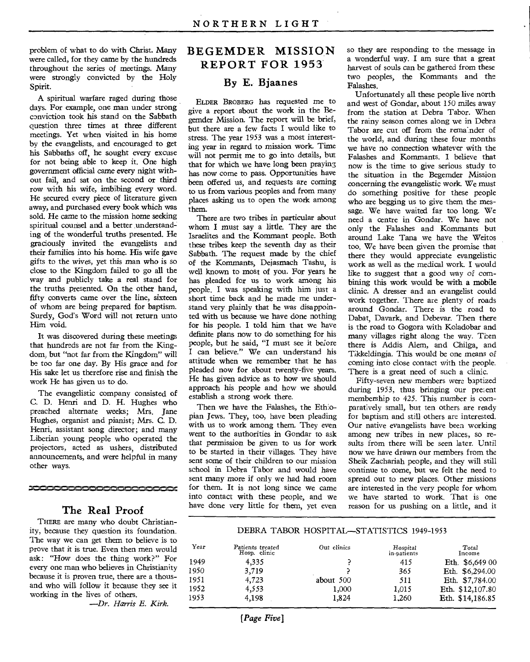problem of what to do with Christ. Many were called, for they came by the hundreds throughout the series of meetings. Many were strongly convicted by the Holy Spirit.

A spiritual warfare raged during those days. For example, one man under strong conviction took his stand on the Sabbath question three times at three different meetings. Yet when visited in his home by the evangelists, and encouraged to get his Sabbaths off, he sought every excuse for not being able to keep it. One high government official came every night without fail, and sat on the second or third row with his wife, imbibing every word. He secured every piece of literature given away, and purchased every book which was sold. He came to the mission home seeking spiritual counsel and a better understanding of the wonderful truths presented. He graciously invited the evangelists and their families into his home. His wife gave gifts to the wives, yet this man who is so close to the Kingdom failed to go all the way and publicly take a real stand for the truths presented. On the other hand, fifty converts came over the line, sixteen of whom are being prepared for baptism. Surely, God's Word will not return unto Him void.

It was discovered during these meetings that hundreds are not far from the Kingdom, but "not far from the Kingdom" will be too far one day. By His grace and for His sake let us therefore rise and finish the work He has given us to do.

The evangelistic company consisted of C. D. Henri and D. H. Hughes who preached alternate weeks; Mrs. Jane Hughes, organist and pianist; Mrs. C. D. Henri, assistant song director; and many Liberian young people who operated the projectors, acted as ushers, distributed announcements, and were helpful in many other ways.

**ICOOCCOOCCOOCCOOCCOO** 

#### **The Real Proof**

THERE are many who doubt Christianity, because they question its foundation. The way we can get them to believe is to prove that it is true. Even then men would ask: "How does the thing work?" For every one man who believes in Christianity because it is proven true, there are a thousand who will follow it because they see it working in the lives of others.

*—Dr. Harris E. Kirk.* 

#### **BEGEMDER MISSION REPORT FOR 1953**

#### **By E. Bjaanes**

ELDER BROBERG has requested me to give a report about the work in the Begemder Mission. The report will be brief, but there are a few facts I would like to stress. The year 1953 was a most interesting year in regard to mission work. Time will not permit me to go into details, but that for which we have long been praying has now come to pass. Opportunities have been offered us, and requests are coming to us from various peoples and from many places asking us to open the work among them.

There are two tribes in particular about whom I must say a little. They are the Israelites and the Kommant people. Both these tribes keep the seventh day as their Sabbath. The request made by the chief of the Kommants, Dejasmach Tashu, is well known to most of you. For years he has pleaded for us to work among his people. I was speaking with him just a short time back and he made me understand very plainly that he was disappointed with us because we have done nothing for his people. I told him that we have definite plans now to do something for his people, but he said, "I must see it before I can believe." We can understand his attitude when we remember that he has pleaded now for about twenty-five years. He has given advice as to how we should approach his people and how we should establish a strong work there.

Then we have the Falashes, the Ethiopian Jews. They, too, have been pleading with us to work among them. They even went to the authorities in Gondar to ask that permission be given to us for work to be started in their villages. They have sent some of their children to our mission school in Debra Tabor and would have sent many more if only we had had room for them. It is not long since we came into contact with these people, and we have done very little for them, yet even

so they are responding to the message in a wonderful way. I am sure that a great harvest of souls can be gathered from these two peoples, the Kommants and the Falashes.

Unfortunately all these people live north and west of Gondar, about 150 miles away from the station at Debra Tabor. When the rainy season comes along we in Debra Tabor are cut off from the remainder of the world, and during these four months we have no connection whatever with the Falashes and Kommants. I believe that now is the time to give serious study to the situation in the Begemder Mission concerning the evangelistic work. We must do something positive for these people who are begging us to give them the message. We have waited far too long. We need a centre in Gondar. We have not only the Falashes and Kommants but around Lake Tana we have the Weitos too. We have been given the promise that there they would appreciate evangelistic work as well as the medical work. I would like to suggest that a good way of combining this work would be with a mobile clinic. A dresser and an evangelist could work together. There are plenty of roads around Gondar. There is the road to Dabat, Davark, and Debevar. Then there is the road to Gogora with Koladobar and many villages right along the way. Then there is Addis Alem, and Chilga, and Tikkeldingja. This would be one means of coming into close contact with the people. There is a great need of such a clinic.

Fifty-seven new members were baptized during 1953, thus bringing our present membership to 425. This number is comparatively small, but ten others are ready for baptism and still others are interested. Our native evangelists have been working among new tribes in new places, so results from there will be seen later. Until now we have drawn our members from the Sheik Zachariah people, and they will still continue to come, but we felt the need to spread out to new places. Other missions are interested in the very people for whom we have started to work. That is one reason for us pushing on a little, and it

#### DEBRA TABOR HOSPITAL—STATISTICS 1949-1953

| Year | Patients treated<br>Hosp. clinic | Out clinics | Hospital<br>in-patients | Total<br>Income  |
|------|----------------------------------|-------------|-------------------------|------------------|
| 1949 | 4.335                            |             | 415                     | Eth. $$6,64900$  |
| 1950 | 3,719                            |             | 365                     | Eth. \$6,294.00  |
| 1951 | 4,723                            | about 500   | 511                     | Eth. \$7,784.00  |
| 1952 | 4,553                            | 1.000       | 1,015                   | Eth. \$12,107.80 |
| 1953 | 4.198                            | 1.824       | 1.260                   | Eth. \$14,186.85 |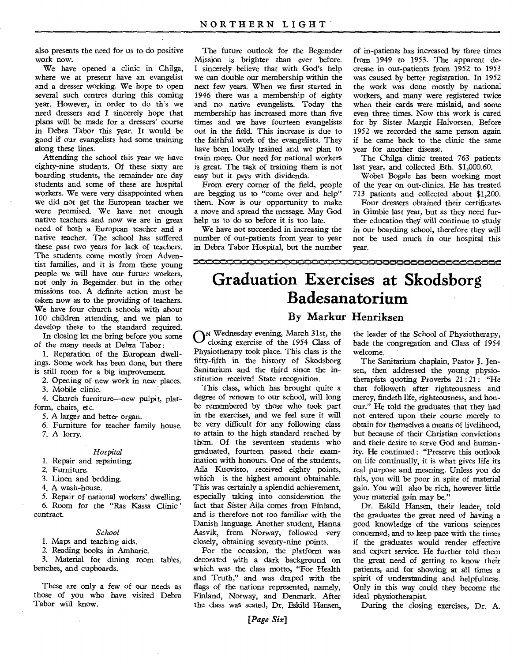also presents the need for us to do positive work now.

We have opened a clinic in Chilga, where we at present have an evangelist and a dresser working. We hope to open several such centres during this coming year. However, in order to do th's we need dressers and I sincerely hope that plans will be made for a dressers' course in Debra Tabor this year. It would be good if our evangelists had some training along these lines.

Attending the school this year we have eighty-nine students. Of these sixty are boarding students, the remainder are day students and some of these are hospital workers. We were very disappointed when we did not get the European teacher we were promised. We have not enough native teachers and now we are in great need of both a European teacher and a native teacher. The school has suffered these past two years for lack of teachers. The students come mostly from Adventist families, and it is from these young people we will have our future workers, not only in Begemder, but in the other missions too. A definite action must be taken now as to the providing of teachers. We have four church schools with about 100 children attending, and we plan to develop these to the standard required.

In closing let me bring before you some of the many needs at Debra Tabor:

1. Reparation of the European dwellings. Some work has been done, but there is still room for a big improvement.

2. Opening of new work in new places.

3. Mobile clinic.

4. Church furniture—new pulpit, platform, chairs, etc.

5. A larger and better organ.

6. Furniture for teacher family house.

7. A lorry.

#### *Hospital*

1. Repair and repainting.

2. Furniture.

3. Linen and bedding.

4. A wash-house.

5. Repair of national workers' dwelling. 6. Room for the "Ras Kassa Clinic ' contract.

#### *School*

1. Maps and teaching aids.

2. Reading books in Amharic.

3. Material for dining room tables, benches, and cupboards.

These are only a few of our needs as those of you who have visited Debra Tabor will know.

The future outlook for the Begemder Mission is brighter than ever before. I sincerely believe that with God's help we can double our membership within the next few years. When we first started in 1946 there was a membership of eighty and no native evangelists. Today the membership has increased more than five times and we have fourteen evangelists out in the field. This increase is due to the faithful work of the evangelists. They have been locally trained and we plan to train more. Our need for national workers is great. The task of training them is not easy but it pays with dividends.

From every corner of the field, people are begging us to "come over and help" them. Now is our opportunity to make a move and spread the message. May God help us to do so before it is too late.

We have not succeeded in increasing the number of out-patients from year to year in Debra Tabor Hospital, but the number of in-patients has increased by three times from 1949 to 1953. The apparent decrease in out-patients from 1952 to 1953 was caused by better registration. In 1952 the work was done mostly by national workers, and many were registered twice when their cards were mislaid, and some even three times. Now this work is cared for by Sister Margit Halvorsen. Before 1952 we recorded the same person again if he came back to the clinic the same year for another disease.

The Chilga clinic treated 763 patients last year, and collected Eth. \$1,000.60.

Wobet Bogale has been working most of the year on out-clinics. He has treated 713 patients and collected about \$1,200.

Four dressers obtained their certificates in Gimbie last year, but as they need further education they will continue to study in our boarding school, therefore they will not be used much in our hospital this year.

### **Graduation Exercises at Skodsborg Badesanatorium**

**',,Ami,,emi,eni,Ine,miNmi,m,imi...e.rNma,one.sni•••••••••••=1:1110.111emorIvorl•Osmilmisam,NRiaxm,nr,mi,m,=,••NaesvaNimiNmr.:41e,,41.,MNimisaa,** 

#### **By** Markur Henriksen

ON Wednesday evening, March 31st, the<br>Closing exercise of the 1954 Class of closing exercise of the 1954 Class of Physiotherapy took place. This class is the fifty-fifth in the history of Skodsborg Sanitarium and the third since the institution received State recognition.

This class, which has brought quite a degree of renown to our school, will long be remembered by those who took part in the exercises, and we feel sure it will be very difficult for any following class to attain to the high standard reached by them. Of the seventeen students who graduated, fourteen passed their examination with honours. One of the students, Aila Kuovisto, received eighty points, which is the highest amount obtainable. This was certainly a splendid achievement, especially taking into consideration the fact that Sister Aila comes from Finland, and is therefore not too familiar with the Danish language. Another student, Hanna Aasvik, from Norway, followed very closely, obtaining seventy-nine points.

For the occasion, the platform was decorated with a dark background on which was the class motto, "For Health and Truth," and was draped with the flags of the nations represented, namely, Finland, Norway, and Denmark. After the class was seated, Dr. Eskild Hansen,

*[Page Six]* 

the leader of the School of Physiotherapy, bade the congregation and Class of 1954 welcome.

The Sanitarium chaplain, Pastor J. Jensen, then addressed the young physiotherapists quoting Proverbs 21 :21: "He that followeth after righteousness and mercy, findeth life, righteousness, and honour." He told the graduates that they had not entered upon their course merely to obtain for themselves a means of livelihood, but because of their Christian convictions and their desire to serve God and humanity. He continued: "Preserve this outlook on life continually, it is what gives life its real purpose and meaning. Unless you do this, you will be poor in spite of material gain. You will also be rich, however little your material gain may be."

Dr. Eskild Hansen, their leader, told the graduates the great need of having a good knowledge of the various sciences concerned, and to keep pace with the times if the graduates would render effective and expert service. He further told them the great need of getting to know their patients, and for showing at all times a spirit of understanding and helpfulness. Only in this way could they become the ideal physiotherapist.

During the closing exercises, Dr. A.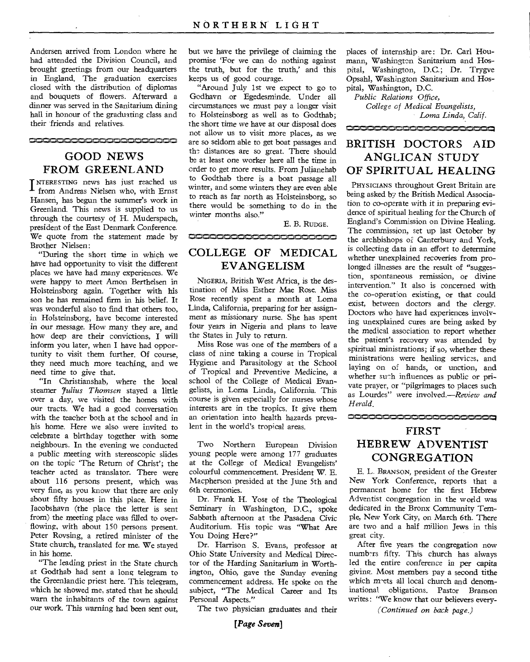Andersen arrived from London where he had attended the Division Council, and brought greetings from our headquarters in England. The graduation exercises closed with the distribution of diplomas and bouquets of flowers. Afterward a dinner was served in the Sanitarium dining hall in honour of the graduating class and their friends and relatives.

#### **GOOD NEWS FROM GREENLAND**

i`samismiN17,sint,a1,06,310,3011,NiNmi,

INTERESTING news has just reached us<br>
from Andreas Nielsen who, with Ernst from Andreas Nielsen who, with Ernst Hansen, has begun the summer's work in Greenland. This news is supplied to us through the courtesy of H. Muderspach, president of the East Denmark Conference. We quote from the statement made by Brother Nielsen :

"During the short time in which we have had opportunity to visit the different places we have had many experiences. We were happy to meet Amon Berthelsen in Holsteinsborg again. Together with his son he has remained firm in his belief. It was wonderful also to find that others too, in Holsteinsborg, have become interested in our message. How many they are, and how deep are their convictions, I will inform you later, when I have had opportunity to visit them further. Of course, they need much more teaching, and we need time to give that.

"In Christianshab, where the local steamer *7ulius Thomsen* stayed a little over a day, we visited the homes with our tracts. We had a good conversation with the teacher both at the school and in his home. Here we also were invited to celebrate a birthday together with some neighbours. In the evening we conducted a public meeting with stereoscopic slides on the topic 'The Return of Christ'; the teacher acted as translator. There were about 116 persons present, which was very fine, as you know that there are only about fifty houses in this place. Here in jacobshavn (the place the letter is sent from) the meeting place was filled to overflowing, with about 150 persons present. Peter Rovsing, a retired minister of the State church, translated for me. We stayed in his home.

"The leading priest *in* the State church at Godthab had sent a long telegram to the Greenlandic priest here. This telegram, which he showed me, stated that he should warn the inhabitants of the town against our work. This warning had been sent out, but we have the privilege of claiming the promise Tor we can do nothing against the truth, but for the truth,' and this keeps us of good courage.

"Around July 1st we expect to go to Godhavn or Egedesminde. Under all circumstances we must pay a longer visit to Holsteinsborg as well as to Godthab; the short time we have at our disposal does not allow us to visit more places, as we are so seldom able to get boat passages and the distances are so great. There should be at least one worker here all the time in order to get more results. From Julianehab to Godthab there is a boat passage all winter, and some winters they are even able to reach as far north as Holsteinsborg, so there would be something to do in the winter months also."

E. B. RUDGE.

#### **COOCCOOCCOOCCOOCCOOC**

#### **COLLEGE OF MEDICAL EVANGELISM**

NIGERIA, British West Africa, is the destination of Miss Esther Mae Rose. Miss Rose recently spent a month at Loma Linda, California, preparing for her assignment as missionary nurse. She has spent four years in Nigeria and plans to leave the States in July to return.

Miss Rose was one of the members of a class of nine taking a course in Tropical Hygiene and Parasitology at the School of Tropical and Preventive Medicine, a school of the College of Medical Evangelists, in Loma Linda, California. This course is given especially for nurses whose interests are in the tropics. It give them an orientation into health hazards prevalent in the world's tropical areas.

Two Northern European Division young people were among 177 graduates at the College of Medical Evangelists' colourful commencement. President W. E. Macpherson presided at the June 5th and 6th ceremonies.

Dr. Frank H. Yost of the Theological Seminary in Washington, D.C., spoke Sabbath afternoon at the Pasadena Civic Auditorium. His topic was "What Are You Doing Here?"

Dr. Harrison S. Evans, professor at Ohio State University and Medical Director of the Harding Sanitarium in Worthington, Ohio, gave the Sunday evening commencement address. He spoke on the subject, "The Medical Career and Its Personal Aspects."

The two physician graduates and their

*[Page Seven]* 

places of internship are: Dr. Carl Houmann, Washington Sanitarium and Hospital, Washington, D.C.; Dr. Trygve Opsahl, Washington Sanitarium and Hospital, Washington, D.C.

*Public Relations Office, College of Medical Evangelists, Loma Linda, Calif.* 

### **BRITISH DOCTORS AID ANGLICAN STUDY OF SPIRITUAL HEALING**

1,1 v N N N ,1411

PHYSICIANS throughout Great Britain are being asked by the British Medical Association to co-operate with it in preparing evidence of spiritual healing for the Church of England's Commission on Divine Healing. The commission, set up last October by the archbishops of Canterbury and York, is collecting data in an effort to determine whether unexplained recoveries from prolonged illnesses are the result of "suggestion, spontaneous remission, or divine intervention." It also is concerned with the co-operation existing, or that could exist, between doctors and the clergy. Doctors who have had experiences involving unexplained cures are being asked by the medical association to report whether the patient's recovery was attended by spiritual ministrations; if so, whether these ministrations were healing services, and laying on of hands, or unction, and whether such influences as public or private prayer, or "pilgrimages to places such as Lourdes" were involved.—Review *and Herald.* 

#### **FIRST HEBREW ADVENTIST CONGREGATION**

E. L. BRANSON, president of the Greater New York Conference, reports that a permanent home for the first Hebrew Adventist congregation in the world was dedicated in the Bronx Community Temple, New York City, on March 6th. There are two and a half million Jews in this great city.

After five years the congregation now numbers fifty. This church has always led the entire conference *in* per capita giving. Most members pay a second tithe which mets all local church and denominational obligations. Pastor Branson writes : 'We know that our believers every-

*(Continued on back page.)*